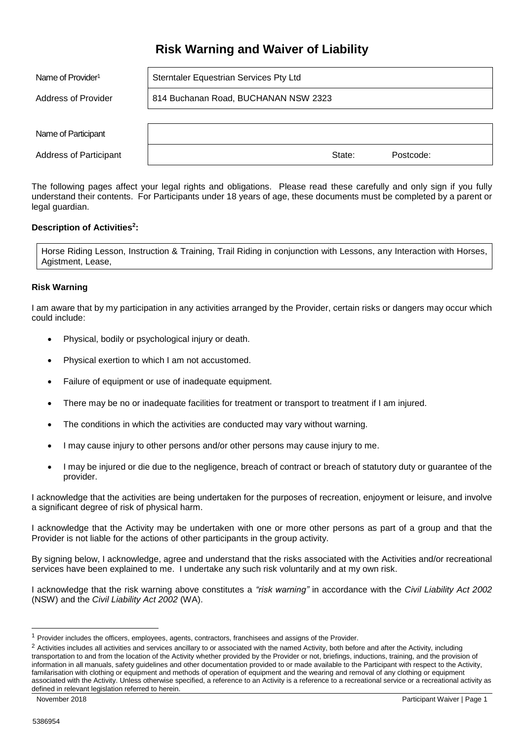# **Risk Warning and Waiver of Liability**

| Name of Provider <sup>1</sup> | Sterntaler Equestrian Services Pty Ltd |  |  |  |
|-------------------------------|----------------------------------------|--|--|--|
| Address of Provider           | 814 Buchanan Road, BUCHANAN NSW 2323   |  |  |  |
|                               |                                        |  |  |  |
| Name of Participant           |                                        |  |  |  |
| <b>Address of Participant</b> | State:<br>Postcode:                    |  |  |  |

The following pages affect your legal rights and obligations. Please read these carefully and only sign if you fully understand their contents. For Participants under 18 years of age, these documents must be completed by a parent or legal guardian.

# **Description of Activities<sup>2</sup> :**

Horse Riding Lesson, Instruction & Training, Trail Riding in conjunction with Lessons, any Interaction with Horses, Agistment, Lease,

## **Risk Warning**

I am aware that by my participation in any activities arranged by the Provider, certain risks or dangers may occur which could include:

- Physical, bodily or psychological injury or death.
- Physical exertion to which I am not accustomed.
- Failure of equipment or use of inadequate equipment.
- There may be no or inadequate facilities for treatment or transport to treatment if I am injured.
- The conditions in which the activities are conducted may vary without warning.
- I may cause injury to other persons and/or other persons may cause injury to me.
- I may be injured or die due to the negligence, breach of contract or breach of statutory duty or guarantee of the provider.

I acknowledge that the activities are being undertaken for the purposes of recreation, enjoyment or leisure, and involve a significant degree of risk of physical harm.

I acknowledge that the Activity may be undertaken with one or more other persons as part of a group and that the Provider is not liable for the actions of other participants in the group activity.

By signing below, I acknowledge, agree and understand that the risks associated with the Activities and/or recreational services have been explained to me. I undertake any such risk voluntarily and at my own risk.

I acknowledge that the risk warning above constitutes a *"risk warning"* in accordance with the *Civil Liability Act 2002*  (NSW) and the *Civil Liability Act 2002* (WA).

1

<sup>&</sup>lt;sup>1</sup> Provider includes the officers, employees, agents, contractors, franchisees and assigns of the Provider.

<sup>&</sup>lt;sup>2</sup> Activities includes all activities and services ancillary to or associated with the named Activity, both before and after the Activity, including transportation to and from the location of the Activity whether provided by the Provider or not, briefings, inductions, training, and the provision of information in all manuals, safety guidelines and other documentation provided to or made available to the Participant with respect to the Activity, familarisation with clothing or equipment and methods of operation of equipment and the wearing and removal of any clothing or equipment associated with the Activity. Unless otherwise specified, a reference to an Activity is a reference to a recreational service or a recreational activity as defined in relevant legislation referred to herein.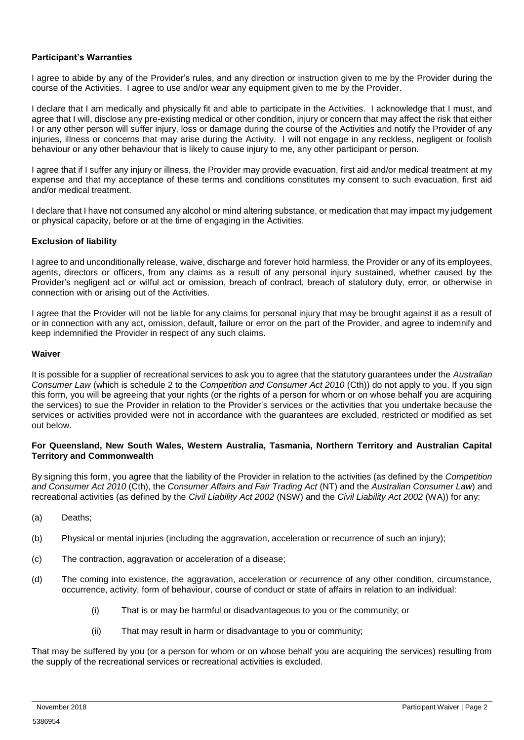# **Participant's Warranties**

I agree to abide by any of the Provider's rules, and any direction or instruction given to me by the Provider during the course of the Activities. I agree to use and/or wear any equipment given to me by the Provider.

I declare that I am medically and physically fit and able to participate in the Activities. I acknowledge that I must, and agree that I will, disclose any pre-existing medical or other condition, injury or concern that may affect the risk that either I or any other person will suffer injury, loss or damage during the course of the Activities and notify the Provider of any injuries, illness or concerns that may arise during the Activity. I will not engage in any reckless, negligent or foolish behaviour or any other behaviour that is likely to cause injury to me, any other participant or person.

I agree that if I suffer any injury or illness, the Provider may provide evacuation, first aid and/or medical treatment at my expense and that my acceptance of these terms and conditions constitutes my consent to such evacuation, first aid and/or medical treatment.

I declare that I have not consumed any alcohol or mind altering substance, or medication that may impact my judgement or physical capacity, before or at the time of engaging in the Activities.

## **Exclusion of liability**

I agree to and unconditionally release, waive, discharge and forever hold harmless, the Provider or any of its employees, agents, directors or officers, from any claims as a result of any personal injury sustained, whether caused by the Provider's negligent act or wilful act or omission, breach of contract, breach of statutory duty, error, or otherwise in connection with or arising out of the Activities.

I agree that the Provider will not be liable for any claims for personal injury that may be brought against it as a result of or in connection with any act, omission, default, failure or error on the part of the Provider, and agree to indemnify and keep indemnified the Provider in respect of any such claims.

#### **Waiver**

It is possible for a supplier of recreational services to ask you to agree that the statutory guarantees under the *Australian Consumer Law* (which is schedule 2 to the *Competition and Consumer Act 2010* (Cth)) do not apply to you. If you sign this form, you will be agreeing that your rights (or the rights of a person for whom or on whose behalf you are acquiring the services) to sue the Provider in relation to the Provider's services or the activities that you undertake because the services or activities provided were not in accordance with the guarantees are excluded, restricted or modified as set out below.

#### **For Queensland, New South Wales, Western Australia, Tasmania, Northern Territory and Australian Capital Territory and Commonwealth**

By signing this form, you agree that the liability of the Provider in relation to the activities (as defined by the *Competition and Consumer Act 2010* (Cth), the *Consumer Affairs and Fair Trading Act* (NT) and the *Australian Consumer Law*) and recreational activities (as defined by the *Civil Liability Act 2002* (NSW) and the *Civil Liability Act 2002* (WA)) for any:

- (a) Deaths;
- (b) Physical or mental injuries (including the aggravation, acceleration or recurrence of such an injury);
- (c) The contraction, aggravation or acceleration of a disease;
- (d) The coming into existence, the aggravation, acceleration or recurrence of any other condition, circumstance, occurrence, activity, form of behaviour, course of conduct or state of affairs in relation to an individual:
	- (i) That is or may be harmful or disadvantageous to you or the community; or
	- (ii) That may result in harm or disadvantage to you or community;

That may be suffered by you (or a person for whom or on whose behalf you are acquiring the services) resulting from the supply of the recreational services or recreational activities is excluded.